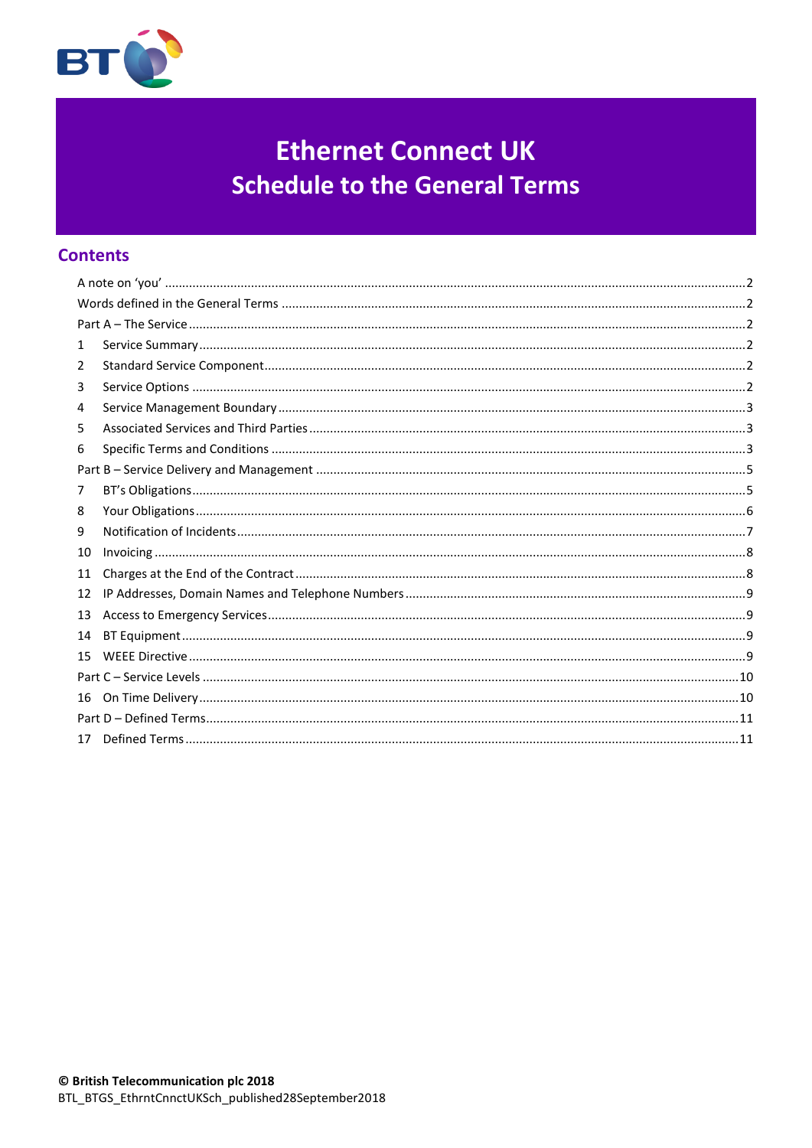

# **Ethernet Connect UK Schedule to the General Terms**

# **Contents**

| 1  |  |  |  |  |
|----|--|--|--|--|
| 2  |  |  |  |  |
| 3  |  |  |  |  |
| 4  |  |  |  |  |
| 5  |  |  |  |  |
| 6  |  |  |  |  |
|    |  |  |  |  |
| 7  |  |  |  |  |
| 8  |  |  |  |  |
| 9  |  |  |  |  |
| 10 |  |  |  |  |
| 11 |  |  |  |  |
| 12 |  |  |  |  |
| 13 |  |  |  |  |
| 14 |  |  |  |  |
| 15 |  |  |  |  |
|    |  |  |  |  |
| 16 |  |  |  |  |
|    |  |  |  |  |
| 17 |  |  |  |  |
|    |  |  |  |  |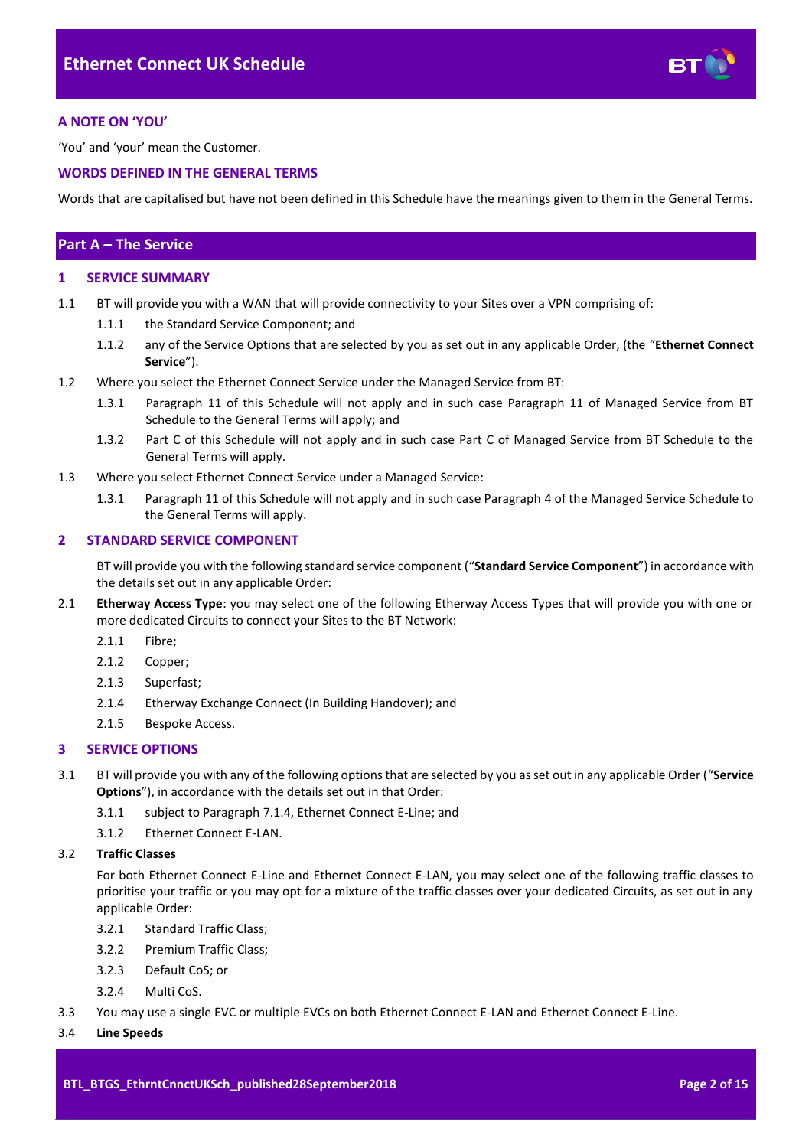

## <span id="page-1-0"></span>**A NOTE ON 'YOU'**

'You' and 'your' mean the Customer.

## <span id="page-1-1"></span>**WORDS DEFINED IN THE GENERAL TERMS**

Words that are capitalised but have not been defined in this Schedule have the meanings given to them in the General Terms.

## <span id="page-1-2"></span>**Part A – The Service**

## <span id="page-1-3"></span>**1 SERVICE SUMMARY**

- 1.1 BT will provide you with a WAN that will provide connectivity to your Sites over a VPN comprising of:
	- 1.1.1 the Standard Service Component; and
	- 1.1.2 any of the Service Options that are selected by you as set out in any applicable Order, (the "**Ethernet Connect Service**").
- 1.2 Where you select the Ethernet Connect Service under the Managed Service from BT:
	- 1.3.1 Paragraph 11 of this Schedule will not apply and in such case Paragraph 11 of Managed Service from BT Schedule to the General Terms will apply; and
	- 1.3.2 Part C of this Schedule will not apply and in such case Part C of Managed Service from BT Schedule to the General Terms will apply.
- 1.3 Where you select Ethernet Connect Service under a Managed Service:
	- 1.3.1 Paragraph 11 of this Schedule will not apply and in such case Paragraph 4 of the Managed Service Schedule to the General Terms will apply.

#### <span id="page-1-4"></span>**2 STANDARD SERVICE COMPONENT**

BT will provide you with the following standard service component ("**Standard Service Component**") in accordance with the details set out in any applicable Order:

- <span id="page-1-6"></span>2.1 **Etherway Access Type**: you may select one of the following Etherway Access Types that will provide you with one or more dedicated Circuits to connect your Sites to the BT Network:
	- 2.1.1 Fibre;
	- 2.1.2 Copper;
	- 2.1.3 Superfast;
	- 2.1.4 Etherway Exchange Connect (In Building Handover); and
	- 2.1.5 Bespoke Access.

## <span id="page-1-5"></span>**3 SERVICE OPTIONS**

- 3.1 BT will provide you with any of the following options that are selected by you as set out in any applicable Order ("**Service Options**"), in accordance with the details set out in that Order:
	- 3.1.1 subject to Paragraph [7.1.4,](#page-4-2) Ethernet Connect E-Line; and
	- 3.1.2 Ethernet Connect E-LAN.

#### 3.2 **Traffic Classes**

For both Ethernet Connect E-Line and Ethernet Connect E-LAN, you may select one of the following traffic classes to prioritise your traffic or you may opt for a mixture of the traffic classes over your dedicated Circuits, as set out in any applicable Order:

- 3.2.1 Standard Traffic Class;
- 3.2.2 Premium Traffic Class;
- 3.2.3 Default CoS; or
- 3.2.4 Multi CoS.
- 3.3 You may use a single EVC or multiple EVCs on both Ethernet Connect E-LAN and Ethernet Connect E-Line.

#### 3.4 **Line Speeds**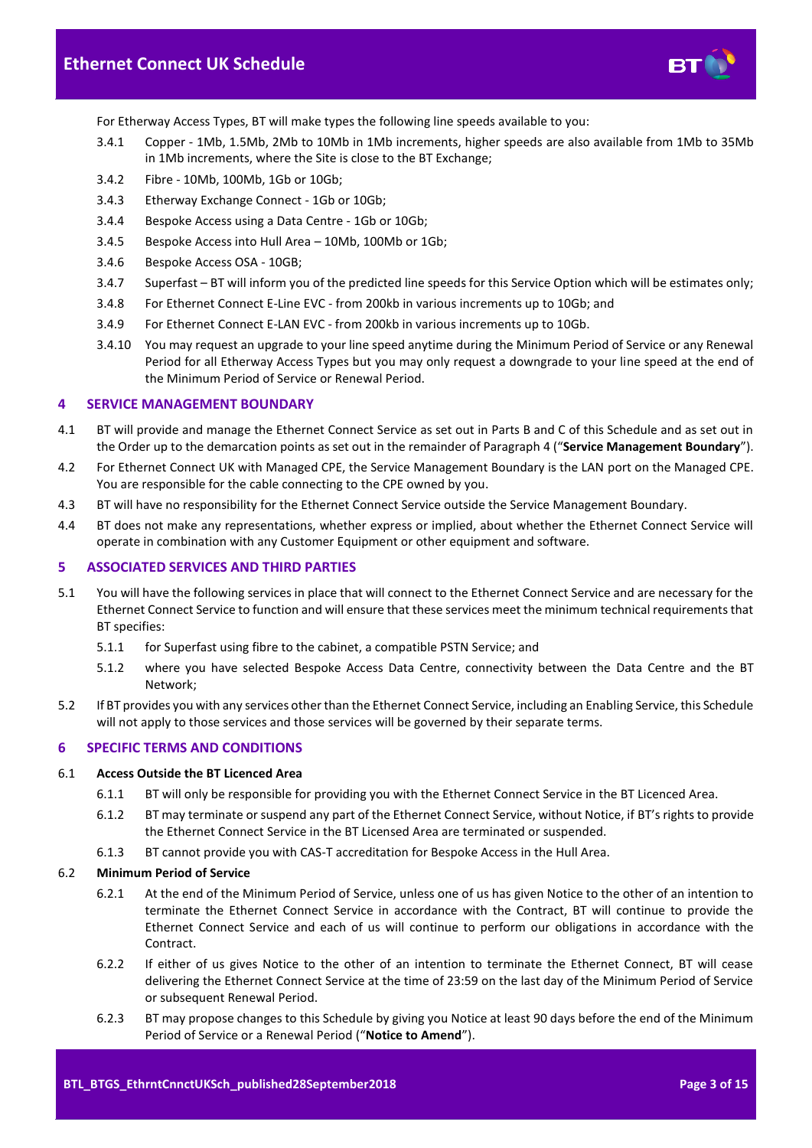

For Etherway Access Types, BT will make types the following line speeds available to you:

- <span id="page-2-3"></span>3.4.1 Copper - 1Mb, 1.5Mb, 2Mb to 10Mb in 1Mb increments, higher speeds are also available from 1Mb to 35Mb in 1Mb increments, where the Site is close to the BT Exchange;
- 3.4.2 Fibre 10Mb, 100Mb, 1Gb or 10Gb;
- 3.4.3 Etherway Exchange Connect 1Gb or 10Gb;
- 3.4.4 Bespoke Access using a Data Centre 1Gb or 10Gb;
- 3.4.5 Bespoke Access into Hull Area 10Mb, 100Mb or 1Gb;
- 3.4.6 Bespoke Access OSA 10GB;
- <span id="page-2-4"></span>3.4.7 Superfast – BT will inform you of the predicted line speeds for this Service Option which will be estimates only;
- 3.4.8 For Ethernet Connect E-Line EVC from 200kb in various increments up to 10Gb; and
- 3.4.9 For Ethernet Connect E-LAN EVC from 200kb in various increments up to 10Gb.
- 3.4.10 You may request an upgrade to your line speed anytime during the Minimum Period of Service or any Renewal Period for all Etherway Access Types but you may only request a downgrade to your line speed at the end of the Minimum Period of Service or Renewal Period.

#### <span id="page-2-0"></span>**4 SERVICE MANAGEMENT BOUNDARY**

- <span id="page-2-6"></span>4.1 BT will provide and manage the Ethernet Connect Service as set out in Parts B and C of this Schedule and as set out in the Order up to the demarcation points as set out in the remainder of Paragrap[h 4](#page-2-0) ("**Service Management Boundary**").
- 4.2 For Ethernet Connect UK with Managed CPE, the Service Management Boundary is the LAN port on the Managed CPE. You are responsible for the cable connecting to the CPE owned by you.
- 4.3 BT will have no responsibility for the Ethernet Connect Service outside the Service Management Boundary.
- 4.4 BT does not make any representations, whether express or implied, about whether the Ethernet Connect Service will operate in combination with any Customer Equipment or other equipment and software.

## <span id="page-2-1"></span>**5 ASSOCIATED SERVICES AND THIRD PARTIES**

- <span id="page-2-5"></span>5.1 You will have the following services in place that will connect to the Ethernet Connect Service and are necessary for the Ethernet Connect Service to function and will ensure that these services meet the minimum technical requirements that BT specifies:
	- 5.1.1 for Superfast using fibre to the cabinet, a compatible PSTN Service; and
	- 5.1.2 where you have selected Bespoke Access Data Centre, connectivity between the Data Centre and the BT Network;
- 5.2 If BT provides you with any services other than the Ethernet Connect Service, including an Enabling Service, this Schedule will not apply to those services and those services will be governed by their separate terms.

#### <span id="page-2-2"></span>**6 SPECIFIC TERMS AND CONDITIONS**

#### 6.1 **Access Outside the BT Licenced Area**

- 6.1.1 BT will only be responsible for providing you with the Ethernet Connect Service in the BT Licenced Area.
- 6.1.2 BT may terminate or suspend any part of the Ethernet Connect Service, without Notice, if BT's rights to provide the Ethernet Connect Service in the BT Licensed Area are terminated or suspended.
- 6.1.3 BT cannot provide you with CAS-T accreditation for Bespoke Access in the Hull Area.

#### 6.2 **Minimum Period of Service**

- 6.2.1 At the end of the Minimum Period of Service, unless one of us has given Notice to the other of an intention to terminate the Ethernet Connect Service in accordance with the Contract, BT will continue to provide the Ethernet Connect Service and each of us will continue to perform our obligations in accordance with the Contract.
- 6.2.2 If either of us gives Notice to the other of an intention to terminate the Ethernet Connect, BT will cease delivering the Ethernet Connect Service at the time of 23:59 on the last day of the Minimum Period of Service or subsequent Renewal Period.
- 6.2.3 BT may propose changes to this Schedule by giving you Notice at least 90 days before the end of the Minimum Period of Service or a Renewal Period ("**Notice to Amend**").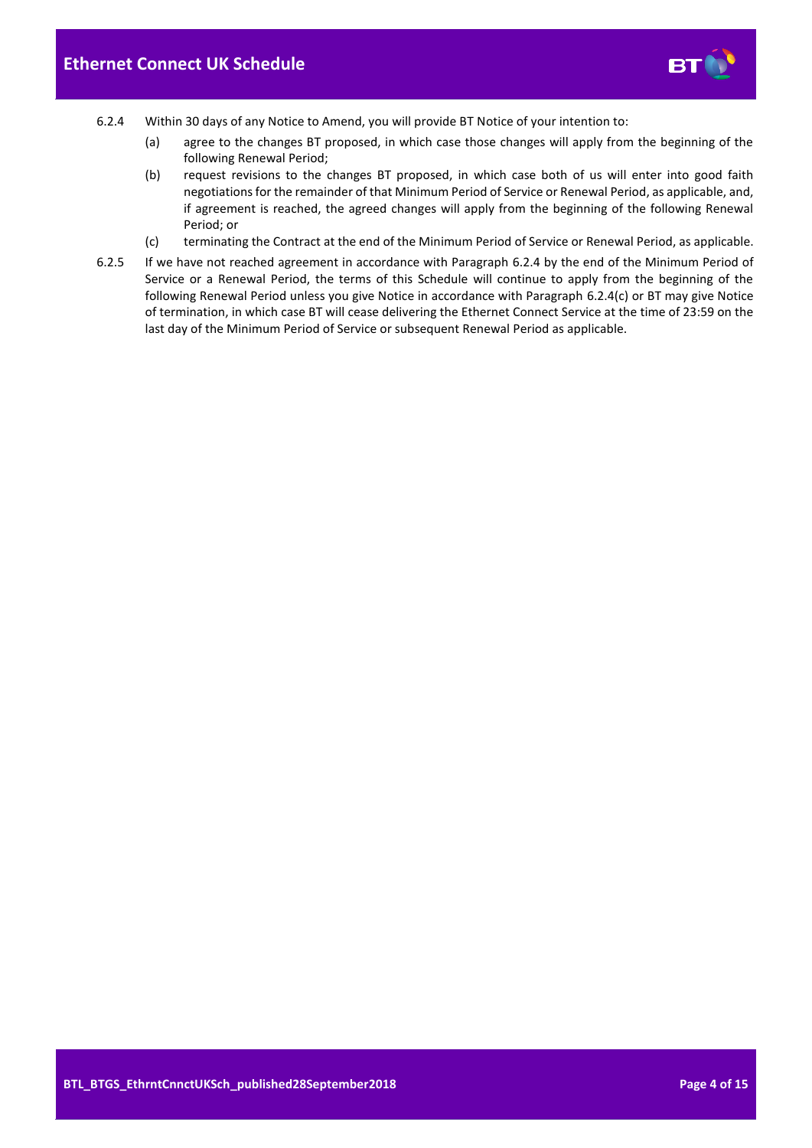

- <span id="page-3-0"></span>6.2.4 Within 30 days of any Notice to Amend, you will provide BT Notice of your intention to:
	- (a) agree to the changes BT proposed, in which case those changes will apply from the beginning of the following Renewal Period;
	- (b) request revisions to the changes BT proposed, in which case both of us will enter into good faith negotiations for the remainder of that Minimum Period of Service or Renewal Period, as applicable, and, if agreement is reached, the agreed changes will apply from the beginning of the following Renewal Period; or
	- (c) terminating the Contract at the end of the Minimum Period of Service or Renewal Period, as applicable.
- <span id="page-3-1"></span>6.2.5 If we have not reached agreement in accordance with Paragraph [6.2.4](#page-3-0) by the end of the Minimum Period of Service or a Renewal Period, the terms of this Schedule will continue to apply from the beginning of the following Renewal Period unless you give Notice in accordance with Paragraph [6.2.4\(c\)](#page-3-1) or BT may give Notice of termination, in which case BT will cease delivering the Ethernet Connect Service at the time of 23:59 on the last day of the Minimum Period of Service or subsequent Renewal Period as applicable.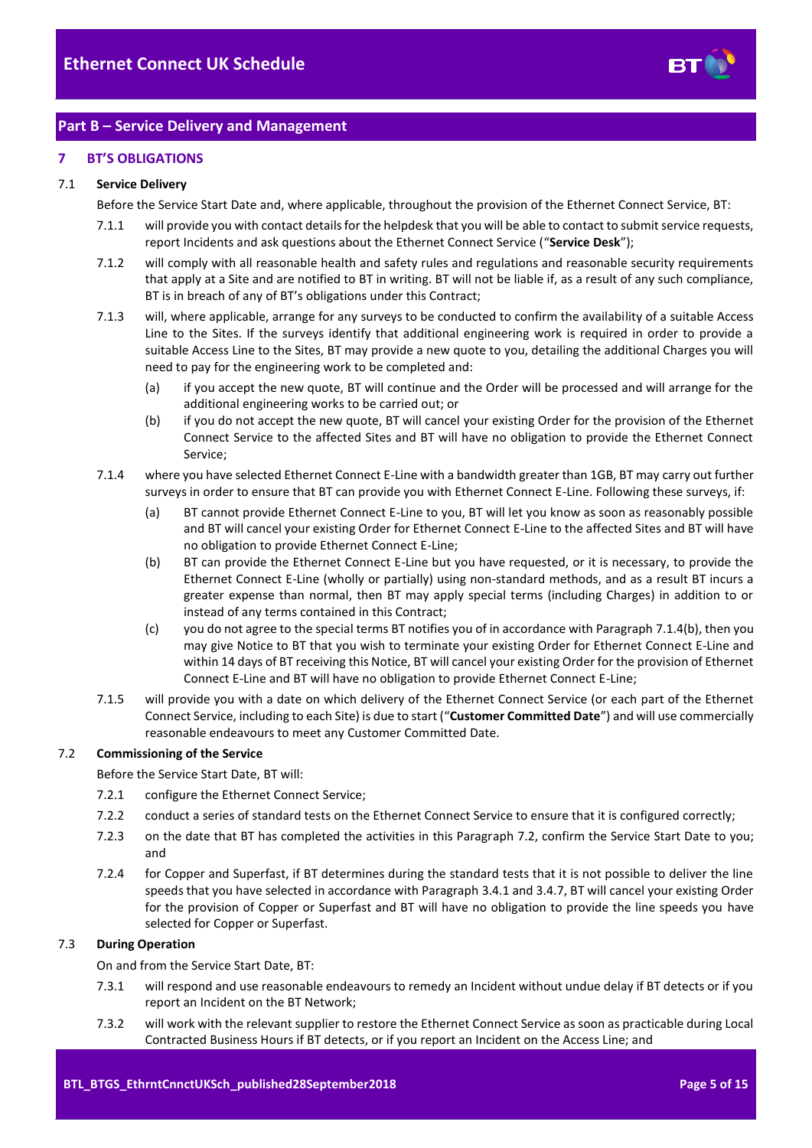

# <span id="page-4-0"></span>**Part B – Service Delivery and Management**

## <span id="page-4-1"></span>**7 BT'S OBLIGATIONS**

## <span id="page-4-6"></span>7.1 **Service Delivery**

Before the Service Start Date and, where applicable, throughout the provision of the Ethernet Connect Service, BT:

- 7.1.1 will provide you with contact details for the helpdesk that you will be able to contact to submit service requests, report Incidents and ask questions about the Ethernet Connect Service ("**Service Desk**");
- 7.1.2 will comply with all reasonable health and safety rules and regulations and reasonable security requirements that apply at a Site and are notified to BT in writing. BT will not be liable if, as a result of any such compliance, BT is in breach of any of BT's obligations under this Contract;
- 7.1.3 will, where applicable, arrange for any surveys to be conducted to confirm the availability of a suitable Access Line to the Sites. If the surveys identify that additional engineering work is required in order to provide a suitable Access Line to the Sites, BT may provide a new quote to you, detailing the additional Charges you will need to pay for the engineering work to be completed and:
	- (a) if you accept the new quote, BT will continue and the Order will be processed and will arrange for the additional engineering works to be carried out; or
	- (b) if you do not accept the new quote, BT will cancel your existing Order for the provision of the Ethernet Connect Service to the affected Sites and BT will have no obligation to provide the Ethernet Connect Service;
- <span id="page-4-3"></span><span id="page-4-2"></span>7.1.4 where you have selected Ethernet Connect E-Line with a bandwidth greater than 1GB, BT may carry out further surveys in order to ensure that BT can provide you with Ethernet Connect E-Line. Following these surveys, if:
	- (a) BT cannot provide Ethernet Connect E-Line to you, BT will let you know as soon as reasonably possible and BT will cancel your existing Order for Ethernet Connect E-Line to the affected Sites and BT will have no obligation to provide Ethernet Connect E-Line;
	- (b) BT can provide the Ethernet Connect E-Line but you have requested, or it is necessary, to provide the Ethernet Connect E-Line (wholly or partially) using non-standard methods, and as a result BT incurs a greater expense than normal, then BT may apply special terms (including Charges) in addition to or instead of any terms contained in this Contract;
	- (c) you do not agree to the special terms BT notifies you of in accordance with Paragraph [7.1.4\(b\),](#page-4-3) then you may give Notice to BT that you wish to terminate your existing Order for Ethernet Connect E-Line and within 14 days of BT receiving this Notice, BT will cancel your existing Order for the provision of Ethernet Connect E-Line and BT will have no obligation to provide Ethernet Connect E-Line;
- <span id="page-4-5"></span>7.1.5 will provide you with a date on which delivery of the Ethernet Connect Service (or each part of the Ethernet Connect Service, including to each Site) is due to start ("**Customer Committed Date**") and will use commercially reasonable endeavours to meet any Customer Committed Date.

## <span id="page-4-4"></span>7.2 **Commissioning of the Service**

Before the Service Start Date, BT will:

- 7.2.1 configure the Ethernet Connect Service;
- 7.2.2 conduct a series of standard tests on the Ethernet Connect Service to ensure that it is configured correctly;
- 7.2.3 on the date that BT has completed the activities in this Paragraph [7.2,](#page-4-4) confirm the Service Start Date to you; and
- 7.2.4 for Copper and Superfast, if BT determines during the standard tests that it is not possible to deliver the line speeds that you have selected in accordance with Paragrap[h 3.4.1](#page-2-3) an[d 3.4.7,](#page-2-4) BT will cancel your existing Order for the provision of Copper or Superfast and BT will have no obligation to provide the line speeds you have selected for Copper or Superfast.

## 7.3 **During Operation**

On and from the Service Start Date, BT:

- 7.3.1 will respond and use reasonable endeavours to remedy an Incident without undue delay if BT detects or if you report an Incident on the BT Network;
- 7.3.2 will work with the relevant supplier to restore the Ethernet Connect Service as soon as practicable during Local Contracted Business Hours if BT detects, or if you report an Incident on the Access Line; and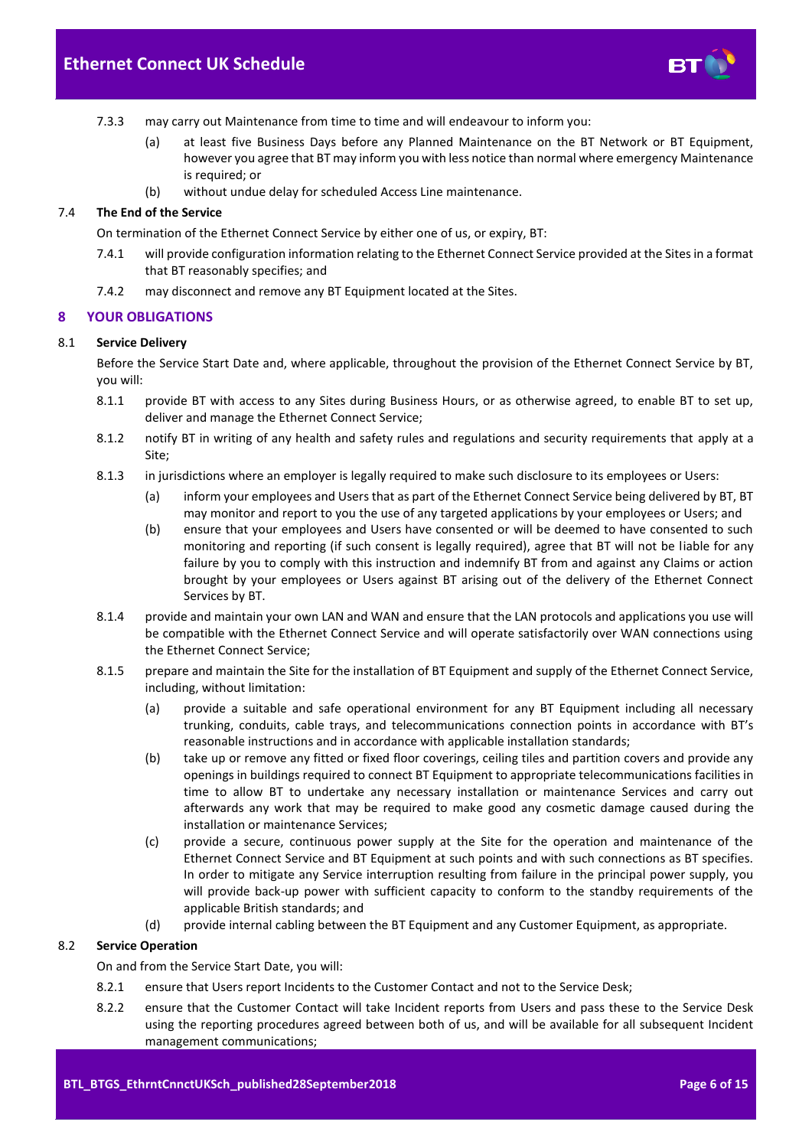

- 7.3.3 may carry out Maintenance from time to time and will endeavour to inform you:
	- (a) at least five Business Days before any Planned Maintenance on the BT Network or BT Equipment, however you agree that BT may inform you with less notice than normal where emergency Maintenance is required; or
	- (b) without undue delay for scheduled Access Line maintenance.

#### 7.4 **The End of the Service**

On termination of the Ethernet Connect Service by either one of us, or expiry, BT:

- 7.4.1 will provide configuration information relating to the Ethernet Connect Service provided at the Sites in a format that BT reasonably specifies; and
- 7.4.2 may disconnect and remove any BT Equipment located at the Sites.

## <span id="page-5-0"></span>**8 YOUR OBLIGATIONS**

#### 8.1 **Service Delivery**

Before the Service Start Date and, where applicable, throughout the provision of the Ethernet Connect Service by BT, you will:

- 8.1.1 provide BT with access to any Sites during Business Hours, or as otherwise agreed, to enable BT to set up, deliver and manage the Ethernet Connect Service;
- 8.1.2 notify BT in writing of any health and safety rules and regulations and security requirements that apply at a Site;
- 8.1.3 in jurisdictions where an employer is legally required to make such disclosure to its employees or Users:
	- (a) inform your employees and Users that as part of the Ethernet Connect Service being delivered by BT, BT may monitor and report to you the use of any targeted applications by your employees or Users; and
	- (b) ensure that your employees and Users have consented or will be deemed to have consented to such monitoring and reporting (if such consent is legally required), agree that BT will not be liable for any failure by you to comply with this instruction and indemnify BT from and against any Claims or action brought by your employees or Users against BT arising out of the delivery of the Ethernet Connect Services by BT.
- 8.1.4 provide and maintain your own LAN and WAN and ensure that the LAN protocols and applications you use will be compatible with the Ethernet Connect Service and will operate satisfactorily over WAN connections using the Ethernet Connect Service;
- 8.1.5 prepare and maintain the Site for the installation of BT Equipment and supply of the Ethernet Connect Service, including, without limitation:
	- (a) provide a suitable and safe operational environment for any BT Equipment including all necessary trunking, conduits, cable trays, and telecommunications connection points in accordance with BT's reasonable instructions and in accordance with applicable installation standards;
	- (b) take up or remove any fitted or fixed floor coverings, ceiling tiles and partition covers and provide any openings in buildings required to connect BT Equipment to appropriate telecommunications facilities in time to allow BT to undertake any necessary installation or maintenance Services and carry out afterwards any work that may be required to make good any cosmetic damage caused during the installation or maintenance Services;
	- (c) provide a secure, continuous power supply at the Site for the operation and maintenance of the Ethernet Connect Service and BT Equipment at such points and with such connections as BT specifies. In order to mitigate any Service interruption resulting from failure in the principal power supply, you will provide back-up power with sufficient capacity to conform to the standby requirements of the applicable British standards; and
	- (d) provide internal cabling between the BT Equipment and any Customer Equipment, as appropriate.

## 8.2 **Service Operation**

On and from the Service Start Date, you will:

- 8.2.1 ensure that Users report Incidents to the Customer Contact and not to the Service Desk;
- 8.2.2 ensure that the Customer Contact will take Incident reports from Users and pass these to the Service Desk using the reporting procedures agreed between both of us, and will be available for all subsequent Incident management communications;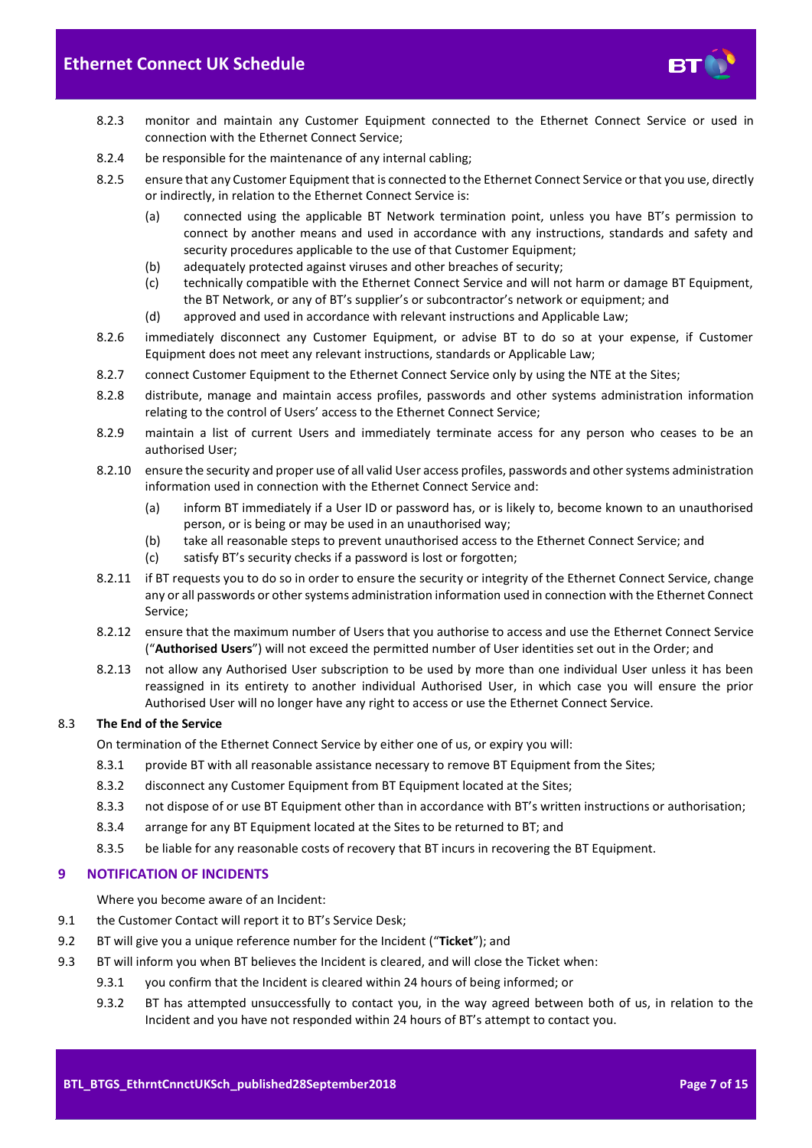

- 8.2.3 monitor and maintain any Customer Equipment connected to the Ethernet Connect Service or used in connection with the Ethernet Connect Service;
- 8.2.4 be responsible for the maintenance of any internal cabling;
- 8.2.5 ensure that any Customer Equipment that is connected to the Ethernet Connect Service or that you use, directly or indirectly, in relation to the Ethernet Connect Service is:
	- (a) connected using the applicable BT Network termination point, unless you have BT's permission to connect by another means and used in accordance with any instructions, standards and safety and security procedures applicable to the use of that Customer Equipment;
	- (b) adequately protected against viruses and other breaches of security;
	- (c) technically compatible with the Ethernet Connect Service and will not harm or damage BT Equipment, the BT Network, or any of BT's supplier's or subcontractor's network or equipment; and
	- (d) approved and used in accordance with relevant instructions and Applicable Law;
- 8.2.6 immediately disconnect any Customer Equipment, or advise BT to do so at your expense, if Customer Equipment does not meet any relevant instructions, standards or Applicable Law;
- 8.2.7 connect Customer Equipment to the Ethernet Connect Service only by using the NTE at the Sites;
- 8.2.8 distribute, manage and maintain access profiles, passwords and other systems administration information relating to the control of Users' access to the Ethernet Connect Service;
- 8.2.9 maintain a list of current Users and immediately terminate access for any person who ceases to be an authorised User;
- 8.2.10 ensure the security and proper use of all valid User access profiles, passwords and other systems administration information used in connection with the Ethernet Connect Service and:
	- (a) inform BT immediately if a User ID or password has, or is likely to, become known to an unauthorised person, or is being or may be used in an unauthorised way;
	- (b) take all reasonable steps to prevent unauthorised access to the Ethernet Connect Service; and
	- (c) satisfy BT's security checks if a password is lost or forgotten;
- 8.2.11 if BT requests you to do so in order to ensure the security or integrity of the Ethernet Connect Service, change any or all passwords or other systems administration information used in connection with the Ethernet Connect Service;
- 8.2.12 ensure that the maximum number of Users that you authorise to access and use the Ethernet Connect Service ("**Authorised Users**") will not exceed the permitted number of User identities set out in the Order; and
- 8.2.13 not allow any Authorised User subscription to be used by more than one individual User unless it has been reassigned in its entirety to another individual Authorised User, in which case you will ensure the prior Authorised User will no longer have any right to access or use the Ethernet Connect Service.

## 8.3 **The End of the Service**

On termination of the Ethernet Connect Service by either one of us, or expiry you will:

- 8.3.1 provide BT with all reasonable assistance necessary to remove BT Equipment from the Sites;
- 8.3.2 disconnect any Customer Equipment from BT Equipment located at the Sites;
- 8.3.3 not dispose of or use BT Equipment other than in accordance with BT's written instructions or authorisation;
- 8.3.4 arrange for any BT Equipment located at the Sites to be returned to BT; and
- 8.3.5 be liable for any reasonable costs of recovery that BT incurs in recovering the BT Equipment.

## <span id="page-6-0"></span>**9 NOTIFICATION OF INCIDENTS**

Where you become aware of an Incident:

- 9.1 the Customer Contact will report it to BT's Service Desk;
- <span id="page-6-1"></span>9.2 BT will give you a unique reference number for the Incident ("**Ticket**"); and
- 9.3 BT will inform you when BT believes the Incident is cleared, and will close the Ticket when:
	- 9.3.1 you confirm that the Incident is cleared within 24 hours of being informed; or
	- 9.3.2 BT has attempted unsuccessfully to contact you, in the way agreed between both of us, in relation to the Incident and you have not responded within 24 hours of BT's attempt to contact you.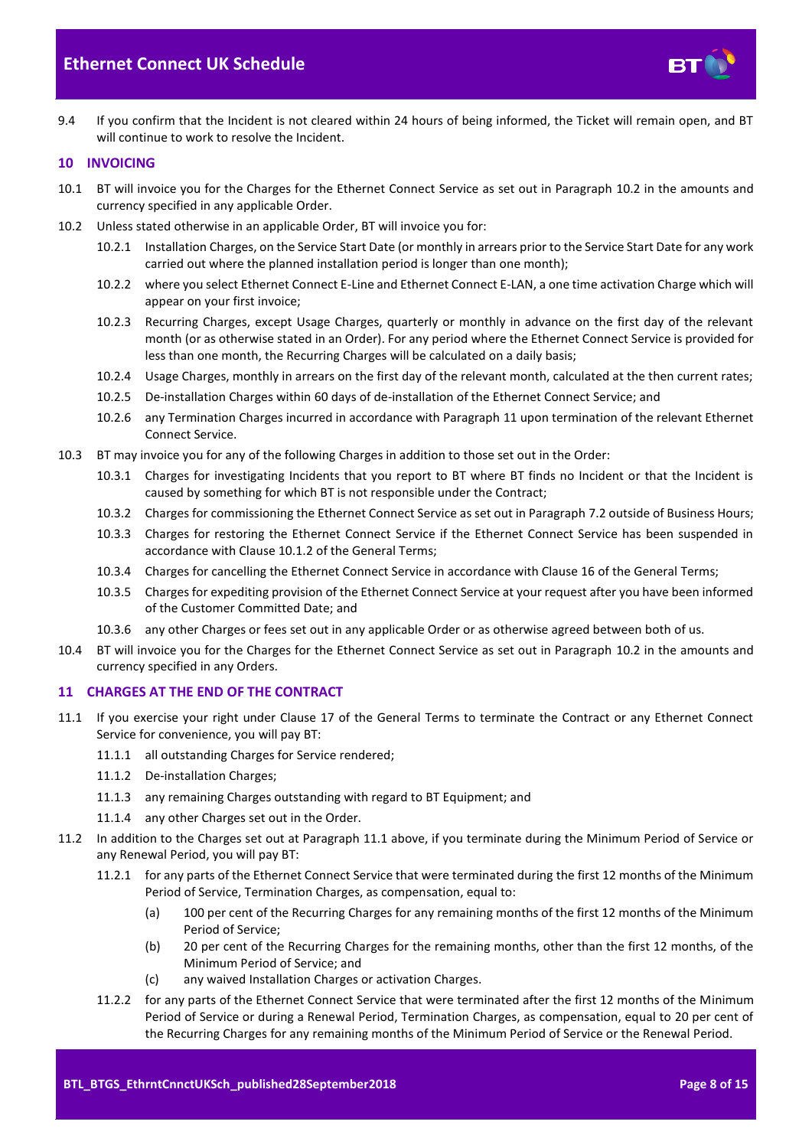

9.4 If you confirm that the Incident is not cleared within 24 hours of being informed, the Ticket will remain open, and BT will continue to work to resolve the Incident.

## <span id="page-7-0"></span>**10 INVOICING**

- 10.1 BT will invoice you for the Charges for the Ethernet Connect Service as set out in Paragraph [10.2](#page-7-2) in the amounts and currency specified in any applicable Order.
- <span id="page-7-2"></span>10.2 Unless stated otherwise in an applicable Order, BT will invoice you for:
	- 10.2.1 Installation Charges, on the Service Start Date (or monthly in arrears prior to the Service Start Date for any work carried out where the planned installation period is longer than one month);
	- 10.2.2 where you select Ethernet Connect E-Line and Ethernet Connect E-LAN, a one time activation Charge which will appear on your first invoice;
	- 10.2.3 Recurring Charges, except Usage Charges, quarterly or monthly in advance on the first day of the relevant month (or as otherwise stated in an Order). For any period where the Ethernet Connect Service is provided for less than one month, the Recurring Charges will be calculated on a daily basis;
	- 10.2.4 Usage Charges, monthly in arrears on the first day of the relevant month, calculated at the then current rates;
	- 10.2.5 De-installation Charges within 60 days of de-installation of the Ethernet Connect Service; and
	- 10.2.6 any Termination Charges incurred in accordance with Paragraph [11](#page-7-1) upon termination of the relevant Ethernet Connect Service.
- 10.3 BT may invoice you for any of the following Charges in addition to those set out in the Order:
	- 10.3.1 Charges for investigating Incidents that you report to BT where BT finds no Incident or that the Incident is caused by something for which BT is not responsible under the Contract;
	- 10.3.2 Charges for commissioning the Ethernet Connect Service as set out in Paragrap[h 7.2](#page-4-4) outside of Business Hours;
	- 10.3.3 Charges for restoring the Ethernet Connect Service if the Ethernet Connect Service has been suspended in accordance with Clause 10.1.2 of the General Terms;
	- 10.3.4 Charges for cancelling the Ethernet Connect Service in accordance with Clause 16 of the General Terms;
	- 10.3.5 Charges for expediting provision of the Ethernet Connect Service at your request after you have been informed of the Customer Committed Date; and
	- 10.3.6 any other Charges or fees set out in any applicable Order or as otherwise agreed between both of us.
- 10.4 BT will invoice you for the Charges for the Ethernet Connect Service as set out in Paragraph [10.2](#page-7-2) in the amounts and currency specified in any Orders.

## <span id="page-7-1"></span>**11 CHARGES AT THE END OF THE CONTRACT**

- <span id="page-7-3"></span>11.1 If you exercise your right under Clause 17 of the General Terms to terminate the Contract or any Ethernet Connect Service for convenience, you will pay BT:
	- 11.1.1 all outstanding Charges for Service rendered;
	- 11.1.2 De-installation Charges;
	- 11.1.3 any remaining Charges outstanding with regard to BT Equipment; and
	- 11.1.4 any other Charges set out in the Order.
- 11.2 In addition to the Charges set out at Paragraph [11.1](#page-7-3) above, if you terminate during the Minimum Period of Service or any Renewal Period, you will pay BT:
	- 11.2.1 for any parts of the Ethernet Connect Service that were terminated during the first 12 months of the Minimum Period of Service, Termination Charges, as compensation, equal to:
		- (a) 100 per cent of the Recurring Charges for any remaining months of the first 12 months of the Minimum Period of Service;
		- (b) 20 per cent of the Recurring Charges for the remaining months, other than the first 12 months, of the Minimum Period of Service; and
		- (c) any waived Installation Charges or activation Charges.
	- 11.2.2 for any parts of the Ethernet Connect Service that were terminated after the first 12 months of the Minimum Period of Service or during a Renewal Period, Termination Charges, as compensation, equal to 20 per cent of the Recurring Charges for any remaining months of the Minimum Period of Service or the Renewal Period.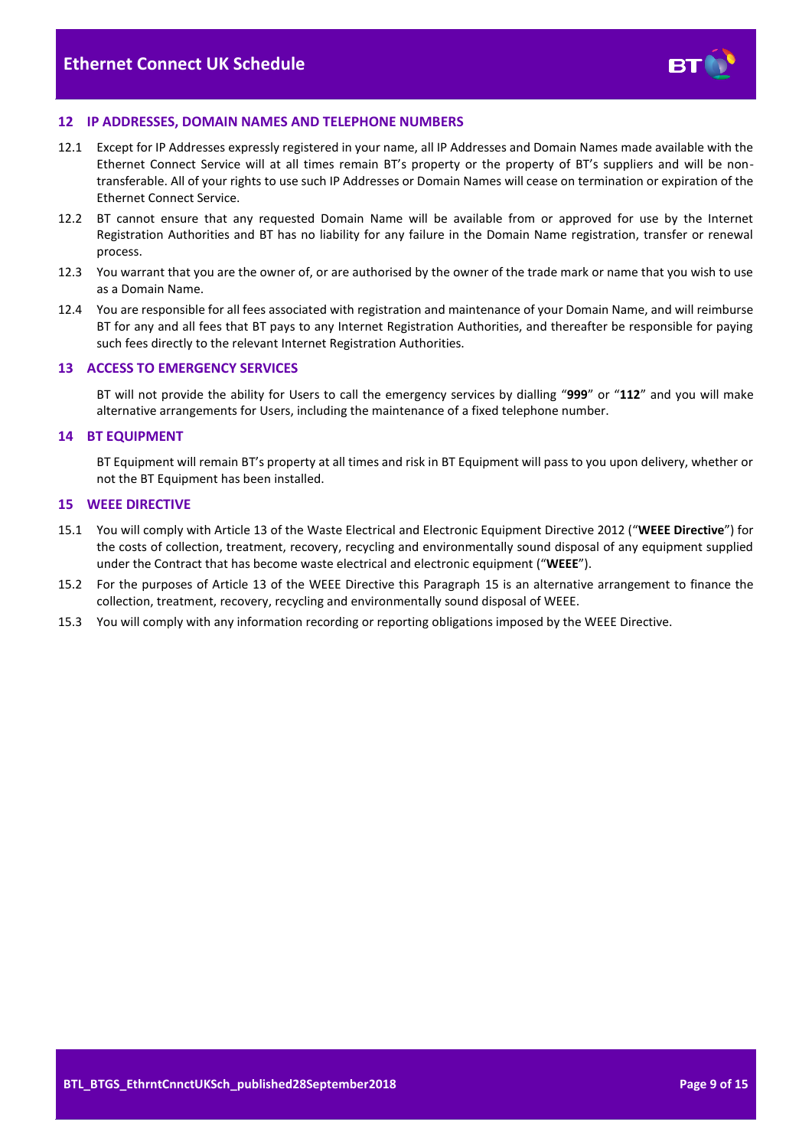

#### <span id="page-8-0"></span>**12 IP ADDRESSES, DOMAIN NAMES AND TELEPHONE NUMBERS**

- 12.1 Except for IP Addresses expressly registered in your name, all IP Addresses and Domain Names made available with the Ethernet Connect Service will at all times remain BT's property or the property of BT's suppliers and will be nontransferable. All of your rights to use such IP Addresses or Domain Names will cease on termination or expiration of the Ethernet Connect Service.
- 12.2 BT cannot ensure that any requested Domain Name will be available from or approved for use by the Internet Registration Authorities and BT has no liability for any failure in the Domain Name registration, transfer or renewal process.
- 12.3 You warrant that you are the owner of, or are authorised by the owner of the trade mark or name that you wish to use as a Domain Name.
- 12.4 You are responsible for all fees associated with registration and maintenance of your Domain Name, and will reimburse BT for any and all fees that BT pays to any Internet Registration Authorities, and thereafter be responsible for paying such fees directly to the relevant Internet Registration Authorities.

#### <span id="page-8-1"></span>**13 ACCESS TO EMERGENCY SERVICES**

BT will not provide the ability for Users to call the emergency services by dialling "**999**" or "**112**" and you will make alternative arrangements for Users, including the maintenance of a fixed telephone number.

#### <span id="page-8-2"></span>**14 BT EQUIPMENT**

BT Equipment will remain BT's property at all times and risk in BT Equipment will pass to you upon delivery, whether or not the BT Equipment has been installed.

## <span id="page-8-3"></span>**15 WEEE DIRECTIVE**

- <span id="page-8-4"></span>15.1 You will comply with Article 13 of the Waste Electrical and Electronic Equipment Directive 2012 ("**WEEE Directive**") for the costs of collection, treatment, recovery, recycling and environmentally sound disposal of any equipment supplied under the Contract that has become waste electrical and electronic equipment ("**WEEE**").
- 15.2 For the purposes of Article 13 of the WEEE Directive this Paragraph [15](#page-8-3) is an alternative arrangement to finance the collection, treatment, recovery, recycling and environmentally sound disposal of WEEE.
- 15.3 You will comply with any information recording or reporting obligations imposed by the WEEE Directive.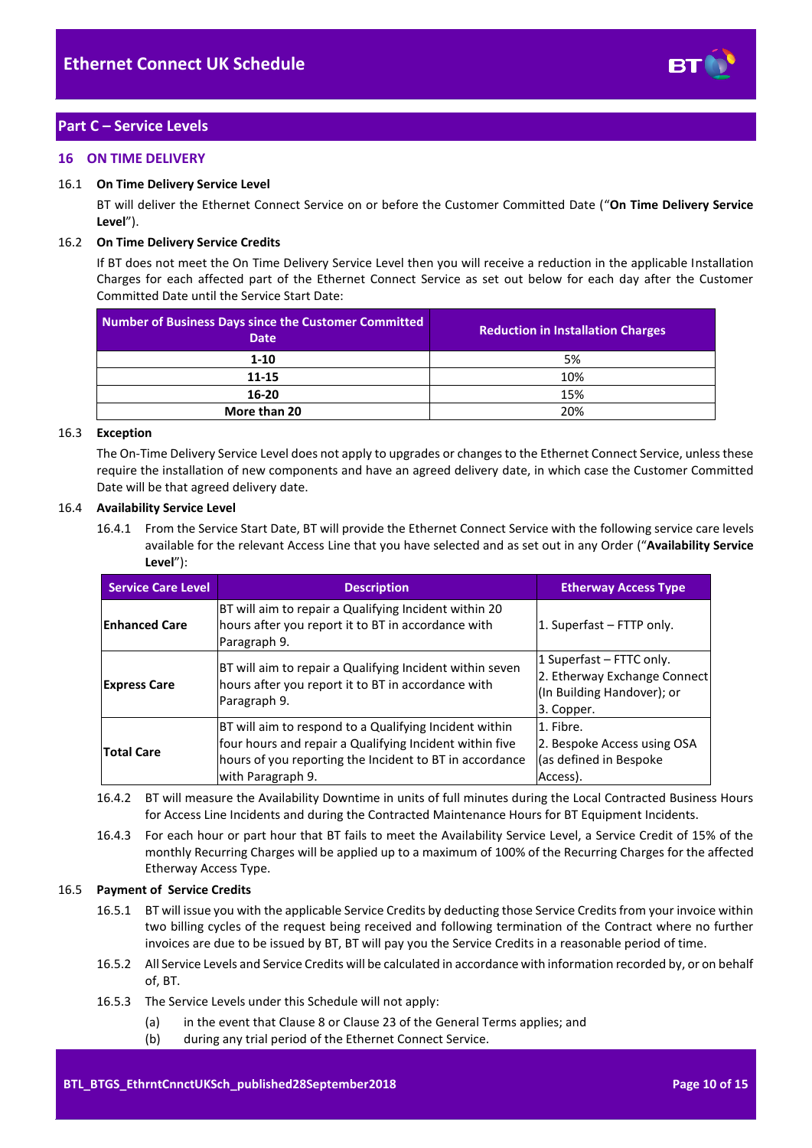

# <span id="page-9-0"></span>**Part C – Service Levels**

## <span id="page-9-1"></span>**16 ON TIME DELIVERY**

#### <span id="page-9-2"></span>16.1 **On Time Delivery Service Level**

BT will deliver the Ethernet Connect Service on or before the Customer Committed Date ("**On Time Delivery Service Level**").

#### 16.2 **On Time Delivery Service Credits**

If BT does not meet the On Time Delivery Service Level then you will receive a reduction in the applicable Installation Charges for each affected part of the Ethernet Connect Service as set out below for each day after the Customer Committed Date until the Service Start Date:

| <b>Number of Business Days since the Customer Committed</b><br><b>Date</b> | <b>Reduction in Installation Charges</b> |  |
|----------------------------------------------------------------------------|------------------------------------------|--|
| $1-10$                                                                     | 5%                                       |  |
| 11-15                                                                      | 10%                                      |  |
| 16-20                                                                      | 15%                                      |  |
| More than 20                                                               | 20%                                      |  |

#### 16.3 **Exception**

The On-Time Delivery Service Level does not apply to upgrades or changes to the Ethernet Connect Service, unless these require the installation of new components and have an agreed delivery date, in which case the Customer Committed Date will be that agreed delivery date.

## 16.4 **Availability Service Level**

16.4.1 From the Service Start Date, BT will provide the Ethernet Connect Service with the following service care levels available for the relevant Access Line that you have selected and as set out in any Order ("**Availability Service Level**"):

| <b>Service Care Level</b> | <b>Description</b>                                                                                                                                                                                | <b>Etherway Access Type</b>                                                                          |
|---------------------------|---------------------------------------------------------------------------------------------------------------------------------------------------------------------------------------------------|------------------------------------------------------------------------------------------------------|
| <b>Enhanced Care</b>      | BT will aim to repair a Qualifying Incident within 20<br>hours after you report it to BT in accordance with<br>Paragraph 9.                                                                       | 1. Superfast – FTTP only.                                                                            |
| <b>Express Care</b>       | BT will aim to repair a Qualifying Incident within seven<br>hours after you report it to BT in accordance with<br>Paragraph 9.                                                                    | 1 Superfast – FTTC only.<br>2. Etherway Exchange Connect<br>(In Building Handover); or<br>3. Copper. |
| <b>Total Care</b>         | BT will aim to respond to a Qualifying Incident within<br>four hours and repair a Qualifying Incident within five<br>hours of you reporting the Incident to BT in accordance<br>with Paragraph 9. | 1. Fibre.<br>2. Bespoke Access using OSA<br>(as defined in Bespoke)<br>Access).                      |

- 16.4.2 BT will measure the Availability Downtime in units of full minutes during the Local Contracted Business Hours for Access Line Incidents and during the Contracted Maintenance Hours for BT Equipment Incidents.
- 16.4.3 For each hour or part hour that BT fails to meet the Availability Service Level, a Service Credit of 15% of the monthly Recurring Charges will be applied up to a maximum of 100% of the Recurring Charges for the affected Etherway Access Type.

#### 16.5 **Payment of Service Credits**

- 16.5.1 BT will issue you with the applicable Service Credits by deducting those Service Credits from your invoice within two billing cycles of the request being received and following termination of the Contract where no further invoices are due to be issued by BT, BT will pay you the Service Credits in a reasonable period of time.
- 16.5.2 All Service Levels and Service Credits will be calculated in accordance with information recorded by, or on behalf of, BT.
- 16.5.3 The Service Levels under this Schedule will not apply:
	- (a) in the event that Clause 8 or Clause 23 of the General Terms applies; and
	- (b) during any trial period of the Ethernet Connect Service.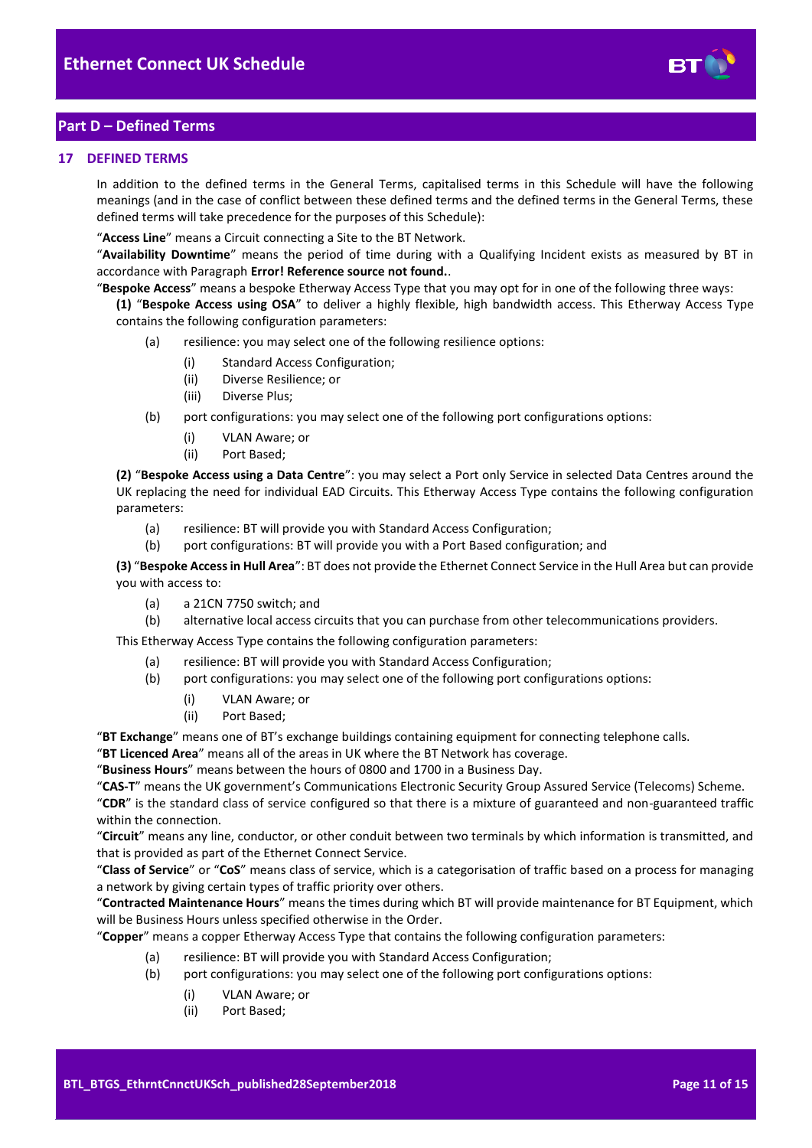

# <span id="page-10-0"></span>**Part D – Defined Terms**

## <span id="page-10-1"></span>**17 DEFINED TERMS**

In addition to the defined terms in the General Terms, capitalised terms in this Schedule will have the following meanings (and in the case of conflict between these defined terms and the defined terms in the General Terms, these defined terms will take precedence for the purposes of this Schedule):

"**Access Line**" means a Circuit connecting a Site to the BT Network.

"**Availability Downtime**" means the period of time during with a Qualifying Incident exists as measured by BT in accordance with Paragraph **Error! Reference source not found.**.

"**Bespoke Access**" means a bespoke Etherway Access Type that you may opt for in one of the following three ways:

**(1)** "**Bespoke Access using OSA**" to deliver a highly flexible, high bandwidth access. This Etherway Access Type contains the following configuration parameters:

- (a) resilience: you may select one of the following resilience options:
	- (i) Standard Access Configuration;
	- (ii) Diverse Resilience; or
	- (iii) Diverse Plus;
- (b) port configurations: you may select one of the following port configurations options:
	- (i) VLAN Aware; or
	- (ii) Port Based;

**(2)** "**Bespoke Access using a Data Centre**": you may select a Port only Service in selected Data Centres around the UK replacing the need for individual EAD Circuits. This Etherway Access Type contains the following configuration parameters:

- (a) resilience: BT will provide you with Standard Access Configuration;
- (b) port configurations: BT will provide you with a Port Based configuration; and

**(3)** "**Bespoke Access in Hull Area**": BT does not provide the Ethernet Connect Service in the Hull Area but can provide you with access to:

- (a) a 21CN 7750 switch; and
- (b) alternative local access circuits that you can purchase from other telecommunications providers.

This Etherway Access Type contains the following configuration parameters:

- (a) resilience: BT will provide you with Standard Access Configuration;
- (b) port configurations: you may select one of the following port configurations options:
	- (i) VLAN Aware; or
	- (ii) Port Based;

"**BT Exchange**" means one of BT's exchange buildings containing equipment for connecting telephone calls.

"**BT Licenced Area**" means all of the areas in UK where the BT Network has coverage.

"**Business Hours**" means between the hours of 0800 and 1700 in a Business Day.

"**CAS-T**" means the UK government's Communications Electronic Security Group Assured Service (Telecoms) Scheme.

"**CDR**" is the standard class of service configured so that there is a mixture of guaranteed and non-guaranteed traffic within the connection.

"**Circuit**" means any line, conductor, or other conduit between two terminals by which information is transmitted, and that is provided as part of the Ethernet Connect Service.

"**Class of Service**" or "**CoS**" means class of service, which is a categorisation of traffic based on a process for managing a network by giving certain types of traffic priority over others.

"**Contracted Maintenance Hours**" means the times during which BT will provide maintenance for BT Equipment, which will be Business Hours unless specified otherwise in the Order.

"**Copper**" means a copper Etherway Access Type that contains the following configuration parameters:

- (a) resilience: BT will provide you with Standard Access Configuration;
- (b) port configurations: you may select one of the following port configurations options:
	- (i) VLAN Aware; or
	- (ii) Port Based;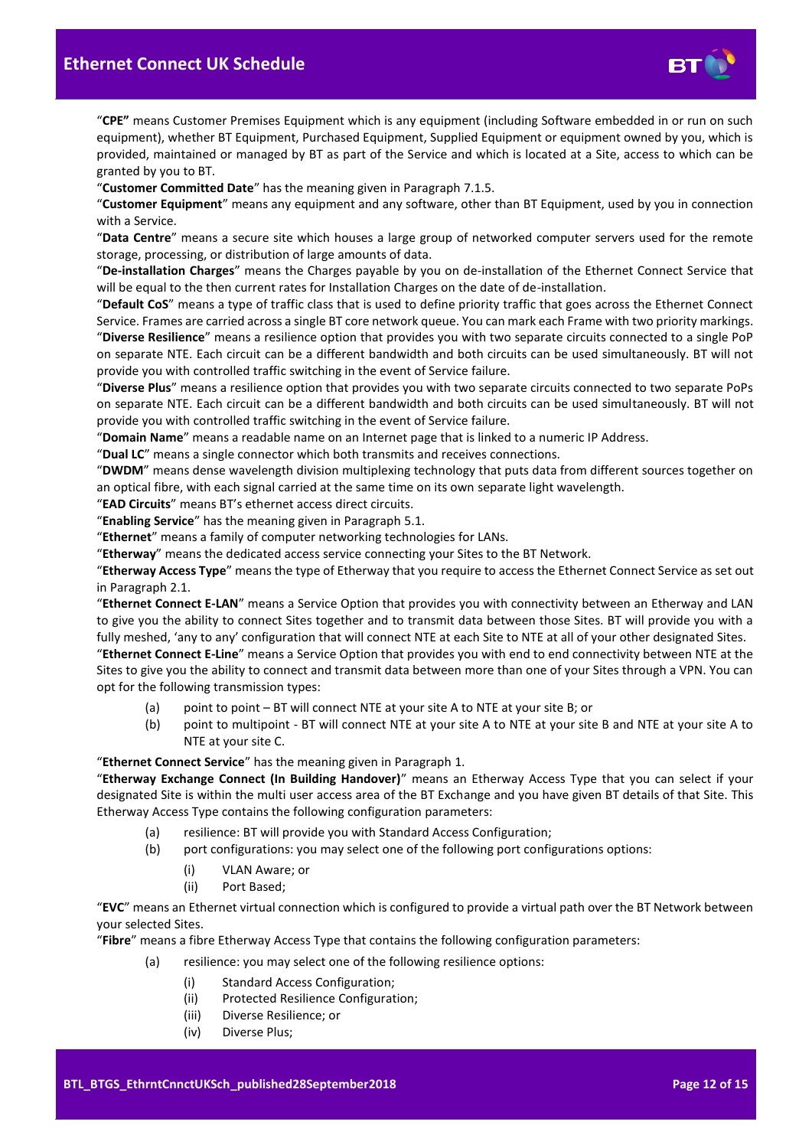

"**CPE"** means Customer Premises Equipment which is any equipment (including Software embedded in or run on such equipment), whether BT Equipment, Purchased Equipment, Supplied Equipment or equipment owned by you, which is provided, maintained or managed by BT as part of the Service and which is located at a Site, access to which can be granted by you to BT.

"**Customer Committed Date**" has the meaning given in Paragraph [7.1.5.](#page-4-5)

"**Customer Equipment**" means any equipment and any software, other than BT Equipment, used by you in connection with a Service.

"**Data Centre**" means a secure site which houses a large group of networked computer servers used for the remote storage, processing, or distribution of large amounts of data.

"**De-installation Charges**" means the Charges payable by you on de-installation of the Ethernet Connect Service that will be equal to the then current rates for Installation Charges on the date of de-installation.

"**Default CoS**" means a type of traffic class that is used to define priority traffic that goes across the Ethernet Connect Service. Frames are carried across a single BT core network queue. You can mark each Frame with two priority markings. "**Diverse Resilience**" means a resilience option that provides you with two separate circuits connected to a single PoP on separate NTE. Each circuit can be a different bandwidth and both circuits can be used simultaneously. BT will not provide you with controlled traffic switching in the event of Service failure.

"**Diverse Plus**" means a resilience option that provides you with two separate circuits connected to two separate PoPs on separate NTE. Each circuit can be a different bandwidth and both circuits can be used simultaneously. BT will not provide you with controlled traffic switching in the event of Service failure.

"**Domain Name**" means a readable name on an Internet page that is linked to a numeric IP Address.

"**Dual LC**" means a single connector which both transmits and receives connections.

"**DWDM**" means dense wavelength division multiplexing technology that puts data from different sources together on an optical fibre, with each signal carried at the same time on its own separate light wavelength.

"**EAD Circuits**" means BT's ethernet access direct circuits.

"**Enabling Service**" has the meaning given in Paragrap[h 5.1.](#page-2-5)

"**Ethernet**" means a family of computer networking technologies for LANs.

"**Etherway**" means the dedicated access service connecting your Sites to the BT Network.

"**Etherway Access Type**" means the type of Etherway that you require to access the Ethernet Connect Service as set out in Paragrap[h 2.1.](#page-1-6)

"**Ethernet Connect E-LAN**" means a Service Option that provides you with connectivity between an Etherway and LAN to give you the ability to connect Sites together and to transmit data between those Sites. BT will provide you with a fully meshed, 'any to any' configuration that will connect NTE at each Site to NTE at all of your other designated Sites.

"**Ethernet Connect E-Line**" means a Service Option that provides you with end to end connectivity between NTE at the Sites to give you the ability to connect and transmit data between more than one of your Sites through a VPN. You can opt for the following transmission types:

- (a) point to point BT will connect NTE at your site A to NTE at your site B; or
- (b) point to multipoint BT will connect NTE at your site A to NTE at your site B and NTE at your site A to NTE at your site C.

"**Ethernet Connect Service**" has the meaning given in Paragrap[h 1.](#page-1-3)

"**Etherway Exchange Connect (In Building Handover)**" means an Etherway Access Type that you can select if your designated Site is within the multi user access area of the BT Exchange and you have given BT details of that Site. This Etherway Access Type contains the following configuration parameters:

- (a) resilience: BT will provide you with Standard Access Configuration;
- (b) port configurations: you may select one of the following port configurations options:
	- (i) VLAN Aware; or
	- (ii) Port Based;

"**EVC**" means an Ethernet virtual connection which is configured to provide a virtual path over the BT Network between your selected Sites.

"**Fibre**" means a fibre Etherway Access Type that contains the following configuration parameters:

- (a) resilience: you may select one of the following resilience options:
	- (i) Standard Access Configuration;
	- (ii) Protected Resilience Configuration;
	- (iii) Diverse Resilience; or
	- (iv) Diverse Plus;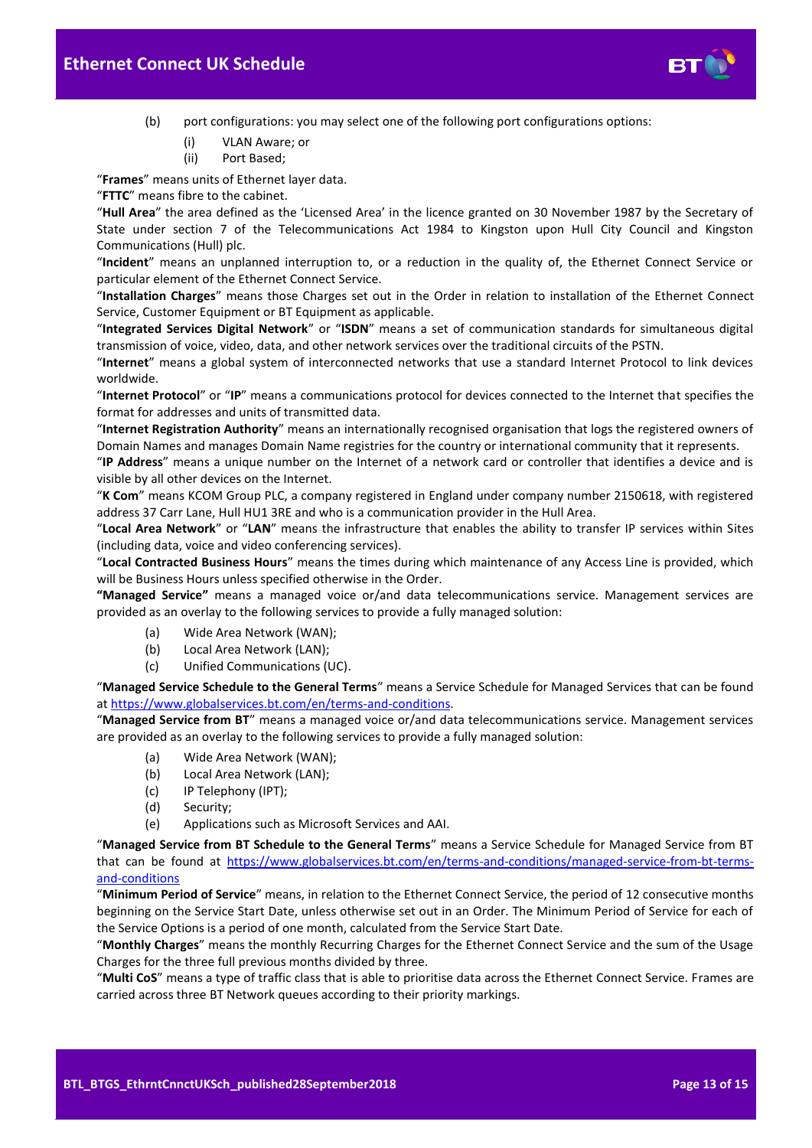

- (b) port configurations: you may select one of the following port configurations options:
	- (i) VLAN Aware; or
	- (ii) Port Based;

"**Frames**" means units of Ethernet layer data.

"**FTTC**" means fibre to the cabinet.

"**Hull Area**" the area defined as the 'Licensed Area' in the licence granted on 30 November 1987 by the Secretary of State under section 7 of the Telecommunications Act 1984 to Kingston upon Hull City Council and Kingston Communications (Hull) plc.

"**Incident**" means an unplanned interruption to, or a reduction in the quality of, the Ethernet Connect Service or particular element of the Ethernet Connect Service.

"**Installation Charges**" means those Charges set out in the Order in relation to installation of the Ethernet Connect Service, Customer Equipment or BT Equipment as applicable.

"**Integrated Services Digital Network**" or "**ISDN**" means a set of communication standards for simultaneous digital transmission of voice, video, data, and other network services over the traditional circuits of the PSTN.

"**Internet**" means a global system of interconnected networks that use a standard Internet Protocol to link devices worldwide.

"**Internet Protocol**" or "**IP**" means a communications protocol for devices connected to the Internet that specifies the format for addresses and units of transmitted data.

"**Internet Registration Authority**" means an internationally recognised organisation that logs the registered owners of Domain Names and manages Domain Name registries for the country or international community that it represents.

"**IP Address**" means a unique number on the Internet of a network card or controller that identifies a device and is visible by all other devices on the Internet.

"**K Com**" means KCOM Group PLC, a company registered in England under company number 2150618, with registered address 37 Carr Lane, Hull HU1 3RE and who is a communication provider in the Hull Area.

"**Local Area Network**" or "**LAN**" means the infrastructure that enables the ability to transfer IP services within Sites (including data, voice and video conferencing services).

"**Local Contracted Business Hours**" means the times during which maintenance of any Access Line is provided, which will be Business Hours unless specified otherwise in the Order.

**"Managed Service"** means a managed voice or/and data telecommunications service. Management services are provided as an overlay to the following services to provide a fully managed solution:

- (a) Wide Area Network (WAN);
- (b) Local Area Network (LAN);
- (c) Unified Communications (UC).

"**Managed Service Schedule to the General Terms**" means a Service Schedule for Managed Services that can be found a[t https://www.globalservices.bt.com/en/terms-and-conditions.](https://www.globalservices.bt.com/en/terms-and-conditions) 

"**Managed Service from BT**" means a managed voice or/and data telecommunications service. Management services are provided as an overlay to the following services to provide a fully managed solution:

- (a) Wide Area Network (WAN);
- (b) Local Area Network (LAN);
- (c) IP Telephony (IPT);
- (d) Security;
- (e) Applications such as Microsoft Services and AAI.

"**Managed Service from BT Schedule to the General Terms**" means a Service Schedule for Managed Service from BT that can be found at [https://www.globalservices.bt.com/en/terms-and-conditions/managed-service-from-bt-terms](https://www.globalservices.bt.com/en/terms-and-conditions/managed-service-from-bt-terms-and-conditions)[and-conditions](https://www.globalservices.bt.com/en/terms-and-conditions/managed-service-from-bt-terms-and-conditions)

"**Minimum Period of Service**" means, in relation to the Ethernet Connect Service, the period of 12 consecutive months beginning on the Service Start Date, unless otherwise set out in an Order. The Minimum Period of Service for each of the Service Options is a period of one month, calculated from the Service Start Date.

"**Monthly Charges**" means the monthly Recurring Charges for the Ethernet Connect Service and the sum of the Usage Charges for the three full previous months divided by three.

"**Multi CoS**" means a type of traffic class that is able to prioritise data across the Ethernet Connect Service. Frames are carried across three BT Network queues according to their priority markings.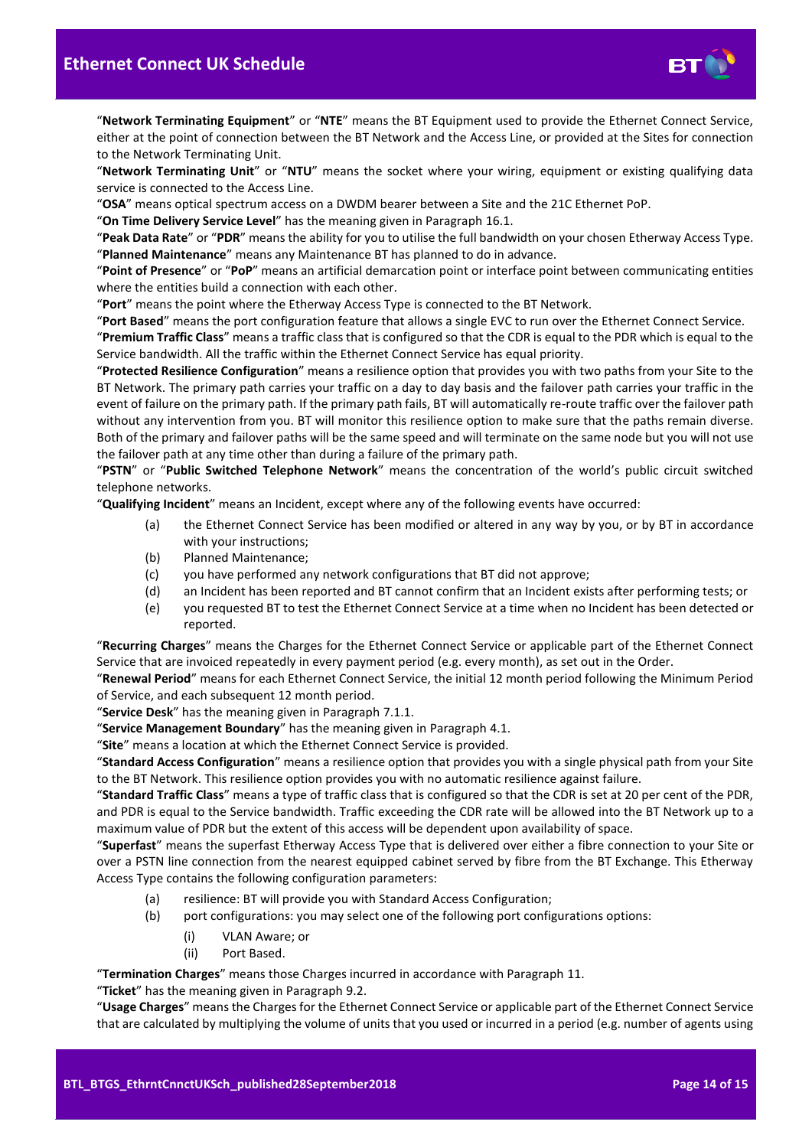

"**Network Terminating Equipment**" or "**NTE**" means the BT Equipment used to provide the Ethernet Connect Service, either at the point of connection between the BT Network and the Access Line, or provided at the Sites for connection to the Network Terminating Unit.

"**Network Terminating Unit**" or "**NTU**" means the socket where your wiring, equipment or existing qualifying data service is connected to the Access Line.

"**OSA**" means optical spectrum access on a DWDM bearer between a Site and the 21C Ethernet PoP.

"**On Time Delivery Service Level**" has the meaning given in Paragraph [16.1.](#page-9-2)

"**Peak Data Rate**" or "**PDR**" means the ability for you to utilise the full bandwidth on your chosen Etherway Access Type. "**Planned Maintenance**" means any Maintenance BT has planned to do in advance.

"**Point of Presence**" or "**PoP**" means an artificial demarcation point or interface point between communicating entities where the entities build a connection with each other.

"**Port**" means the point where the Etherway Access Type is connected to the BT Network.

"**Port Based**" means the port configuration feature that allows a single EVC to run over the Ethernet Connect Service.

"**Premium Traffic Class**" means a traffic class that is configured so that the CDR is equal to the PDR which is equal to the Service bandwidth. All the traffic within the Ethernet Connect Service has equal priority.

"**Protected Resilience Configuration**" means a resilience option that provides you with two paths from your Site to the BT Network. The primary path carries your traffic on a day to day basis and the failover path carries your traffic in the event of failure on the primary path. If the primary path fails, BT will automatically re-route traffic over the failover path without any intervention from you. BT will monitor this resilience option to make sure that the paths remain diverse. Both of the primary and failover paths will be the same speed and will terminate on the same node but you will not use the failover path at any time other than during a failure of the primary path.

"**PSTN**" or "**Public Switched Telephone Network**" means the concentration of the world's public circuit switched telephone networks.

"**Qualifying Incident**" means an Incident, except where any of the following events have occurred:

- (a) the Ethernet Connect Service has been modified or altered in any way by you, or by BT in accordance with your instructions;
- (b) Planned Maintenance;
- (c) you have performed any network configurations that BT did not approve;
- (d) an Incident has been reported and BT cannot confirm that an Incident exists after performing tests; or
- (e) you requested BT to test the Ethernet Connect Service at a time when no Incident has been detected or reported.

"**Recurring Charges**" means the Charges for the Ethernet Connect Service or applicable part of the Ethernet Connect Service that are invoiced repeatedly in every payment period (e.g. every month), as set out in the Order.

"**Renewal Period**" means for each Ethernet Connect Service, the initial 12 month period following the Minimum Period of Service, and each subsequent 12 month period.

"**Service Desk**" has the meaning given in Paragraph [7.1.1.](#page-4-6)

"**Service Management Boundary**" has the meaning given in Paragrap[h 4.1.](#page-2-6)

"**Site**" means a location at which the Ethernet Connect Service is provided.

"**Standard Access Configuration**" means a resilience option that provides you with a single physical path from your Site to the BT Network. This resilience option provides you with no automatic resilience against failure.

"**Standard Traffic Class**" means a type of traffic class that is configured so that the CDR is set at 20 per cent of the PDR, and PDR is equal to the Service bandwidth. Traffic exceeding the CDR rate will be allowed into the BT Network up to a maximum value of PDR but the extent of this access will be dependent upon availability of space.

"**Superfast**" means the superfast Etherway Access Type that is delivered over either a fibre connection to your Site or over a PSTN line connection from the nearest equipped cabinet served by fibre from the BT Exchange. This Etherway Access Type contains the following configuration parameters:

- (a) resilience: BT will provide you with Standard Access Configuration;
- (b) port configurations: you may select one of the following port configurations options:
	- (i) VLAN Aware; or
	- (ii) Port Based.

"**Termination Charges**" means those Charges incurred in accordance with Paragraph [11.](#page-7-1)

"**Ticket**" has the meaning given in Paragraph [9.2.](#page-6-1)

"**Usage Charges**" means the Charges for the Ethernet Connect Service or applicable part of the Ethernet Connect Service that are calculated by multiplying the volume of units that you used or incurred in a period (e.g. number of agents using